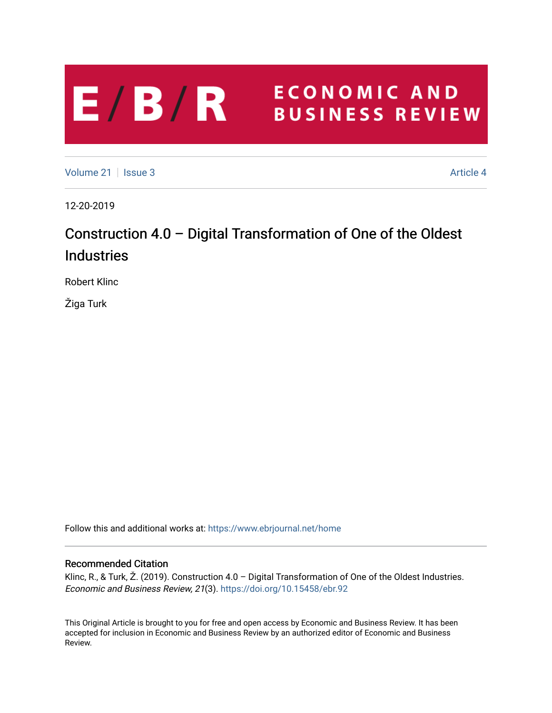## **ECONOMIC AND**  $E/B/R$ **BUSINESS REVIEW**

[Volume 21](https://www.ebrjournal.net/home/vol21) | [Issue 3](https://www.ebrjournal.net/home/vol21/iss3) Article 4

12-20-2019

# Construction 4.0 – Digital Transformation of One of the Oldest Industries

Robert Klinc

Žiga Turk

Follow this and additional works at: [https://www.ebrjournal.net/home](https://www.ebrjournal.net/home?utm_source=www.ebrjournal.net%2Fhome%2Fvol21%2Fiss3%2F4&utm_medium=PDF&utm_campaign=PDFCoverPages) 

### Recommended Citation

Klinc, R., & Turk, Ž. (2019). Construction 4.0 – Digital Transformation of One of the Oldest Industries. Economic and Business Review, 21(3). <https://doi.org/10.15458/ebr.92>

This Original Article is brought to you for free and open access by Economic and Business Review. It has been accepted for inclusion in Economic and Business Review by an authorized editor of Economic and Business Review.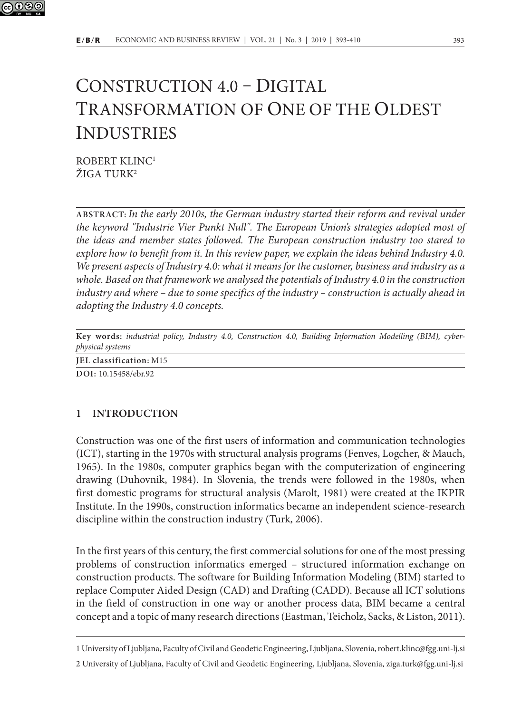

## CONSTRUCTION 4.0 – DIGITAL TRANSFORMATION OF ONE OF THE OLDEST INDUSTRIES

ROBERT KLINC1 ŽIGA TURK2

**ABSTRACT:** *In the early 2010s, the German industry started their reform and revival under the keyword "Industrie Vier Punkt Null". The European Union's strategies adopted most of the ideas and member states followed. The European construction industry too stared to explore how to benefit from it. In this review paper, we explain the ideas behind Industry 4.0. We present aspects of Industry 4.0: what it means for the customer, business and industry as a whole. Based on that framework we analysed the potentials of Industry 4.0 in the construction industry and where – due to some specifics of the industry – construction is actually ahead in adopting the Industry 4.0 concepts.*

|                  |                         |  | Key words: industrial policy, Industry 4.0, Construction 4.0, Building Information Modelling (BIM), cyber- |  |  |  |
|------------------|-------------------------|--|------------------------------------------------------------------------------------------------------------|--|--|--|
| physical systems |                         |  |                                                                                                            |  |  |  |
|                  | JEL classification: M15 |  |                                                                                                            |  |  |  |
|                  | DOI: 10.15458/ebr.92    |  |                                                                                                            |  |  |  |

### **1 INTRODUCTION**

Construction was one of the first users of information and communication technologies (ICT), starting in the 1970s with structural analysis programs (Fenves, Logcher, & Mauch, 1965). In the 1980s, computer graphics began with the computerization of engineering drawing (Duhovnik, 1984). In Slovenia, the trends were followed in the 1980s, when first domestic programs for structural analysis (Marolt, 1981) were created at the IKPIR Institute. In the 1990s, construction informatics became an independent science-research discipline within the construction industry (Turk, 2006).

In the first years of this century, the first commercial solutions for one of the most pressing problems of construction informatics emerged – structured information exchange on construction products. The software for Building Information Modeling (BIM) started to replace Computer Aided Design (CAD) and Drafting (CADD). Because all ICT solutions in the field of construction in one way or another process data, BIM became a central concept and a topic of many research directions (Eastman, Teicholz, Sacks, & Liston, 2011).

<sup>1</sup> University of Ljubljana, Faculty of Civil and Geodetic Engineering, Ljubljana, Slovenia, robert.klinc@fgg.uni-lj.si 2 University of Ljubljana, Faculty of Civil and Geodetic Engineering, Ljubljana, Slovenia, ziga.turk@fgg.uni-lj.si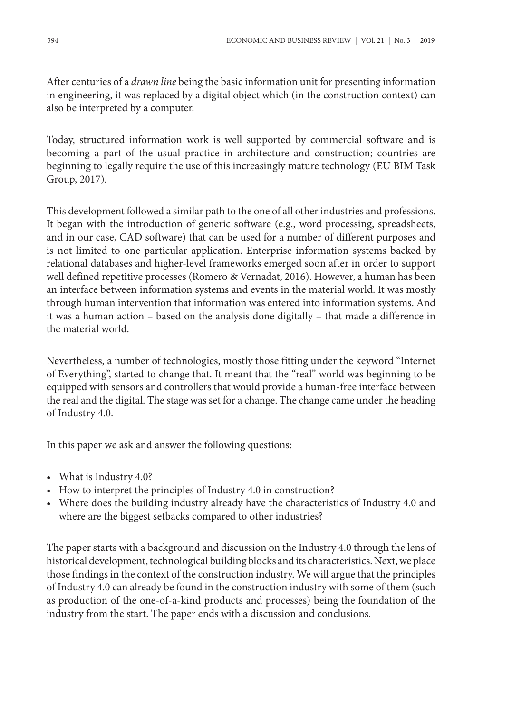After centuries of a *drawn line* being the basic information unit for presenting information in engineering, it was replaced by a digital object which (in the construction context) can also be interpreted by a computer.

Today, structured information work is well supported by commercial software and is becoming a part of the usual practice in architecture and construction; countries are beginning to legally require the use of this increasingly mature technology (EU BIM Task Group, 2017).

This development followed a similar path to the one of all other industries and professions. It began with the introduction of generic software (e.g., word processing, spreadsheets, and in our case, CAD software) that can be used for a number of different purposes and is not limited to one particular application. Enterprise information systems backed by relational databases and higher-level frameworks emerged soon after in order to support well defined repetitive processes (Romero & Vernadat, 2016). However, a human has been an interface between information systems and events in the material world. It was mostly through human intervention that information was entered into information systems. And it was a human action – based on the analysis done digitally – that made a difference in the material world.

Nevertheless, a number of technologies, mostly those fitting under the keyword "Internet of Everything", started to change that. It meant that the "real" world was beginning to be equipped with sensors and controllers that would provide a human-free interface between the real and the digital. The stage was set for a change. The change came under the heading of Industry 4.0.

In this paper we ask and answer the following questions:

- What is Industry 4.0?
- How to interpret the principles of Industry 4.0 in construction?
- Where does the building industry already have the characteristics of Industry 4.0 and where are the biggest setbacks compared to other industries?

The paper starts with a background and discussion on the Industry 4.0 through the lens of historical development, technological building blocks and its characteristics. Next, we place those findings in the context of the construction industry. We will argue that the principles of Industry 4.0 can already be found in the construction industry with some of them (such as production of the one-of-a-kind products and processes) being the foundation of the industry from the start. The paper ends with a discussion and conclusions.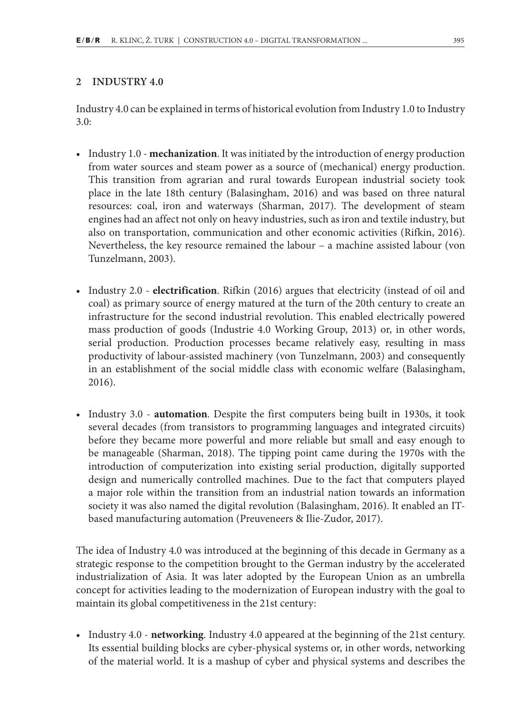#### **2 INDUSTRY 4.0**

Industry 4.0 can be explained in terms of historical evolution from Industry 1.0 to Industry 3.0:

- Industry 1.0 **mechanization**. It was initiated by the introduction of energy production from water sources and steam power as a source of (mechanical) energy production. This transition from agrarian and rural towards European industrial society took place in the late 18th century (Balasingham, 2016) and was based on three natural resources: coal, iron and waterways (Sharman, 2017). The development of steam engines had an affect not only on heavy industries, such as iron and textile industry, but also on transportation, communication and other economic activities (Rifkin, 2016). Nevertheless, the key resource remained the labour – a machine assisted labour (von Tunzelmann, 2003).
- Industry 2.0 **electrification**. Rifkin (2016) argues that electricity (instead of oil and coal) as primary source of energy matured at the turn of the 20th century to create an infrastructure for the second industrial revolution. This enabled electrically powered mass production of goods (Industrie 4.0 Working Group, 2013) or, in other words, serial production. Production processes became relatively easy, resulting in mass productivity of labour-assisted machinery (von Tunzelmann, 2003) and consequently in an establishment of the social middle class with economic welfare (Balasingham, 2016).
- Industry 3.0 **automation**. Despite the first computers being built in 1930s, it took several decades (from transistors to programming languages and integrated circuits) before they became more powerful and more reliable but small and easy enough to be manageable (Sharman, 2018). The tipping point came during the 1970s with the introduction of computerization into existing serial production, digitally supported design and numerically controlled machines. Due to the fact that computers played a major role within the transition from an industrial nation towards an information society it was also named the digital revolution (Balasingham, 2016). It enabled an ITbased manufacturing automation (Preuveneers & Ilie-Zudor, 2017).

The idea of Industry 4.0 was introduced at the beginning of this decade in Germany as a strategic response to the competition brought to the German industry by the accelerated industrialization of Asia. It was later adopted by the European Union as an umbrella concept for activities leading to the modernization of European industry with the goal to maintain its global competitiveness in the 21st century:

• Industry 4.0 - **networking**. Industry 4.0 appeared at the beginning of the 21st century. Its essential building blocks are cyber-physical systems or, in other words, networking of the material world. It is a mashup of cyber and physical systems and describes the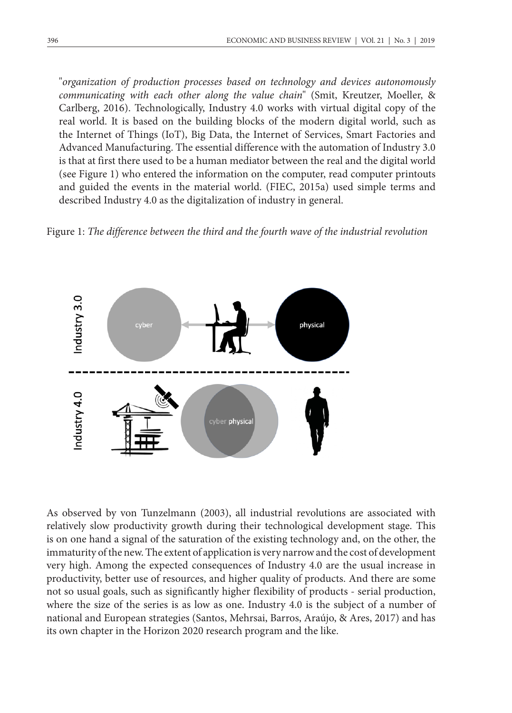"*organization of production processes based on technology and devices autonomously communicating with each other along the value chain*" (Smit, Kreutzer, Moeller, & Carlberg, 2016). Technologically, Industry 4.0 works with virtual digital copy of the real world. It is based on the building blocks of the modern digital world, such as the Internet of Things (IoT), Big Data, the Internet of Services, Smart Factories and Advanced Manufacturing. The essential difference with the automation of Industry 3.0 is that at first there used to be a human mediator between the real and the digital world (see Figure 1) who entered the information on the computer, read computer printouts and guided the events in the material world. (FIEC, 2015a) used simple terms and described Industry 4.0 as the digitalization of industry in general.





As observed by von Tunzelmann (2003), all industrial revolutions are associated with relatively slow productivity growth during their technological development stage. This is on one hand a signal of the saturation of the existing technology and, on the other, the immaturity of the new. The extent of application is very narrow and the cost of development very high. Among the expected consequences of Industry 4.0 are the usual increase in productivity, better use of resources, and higher quality of products. And there are some not so usual goals, such as significantly higher flexibility of products - serial production, where the size of the series is as low as one. Industry 4.0 is the subject of a number of national and European strategies (Santos, Mehrsai, Barros, Araújo, & Ares, 2017) and has its own chapter in the Horizon 2020 research program and the like.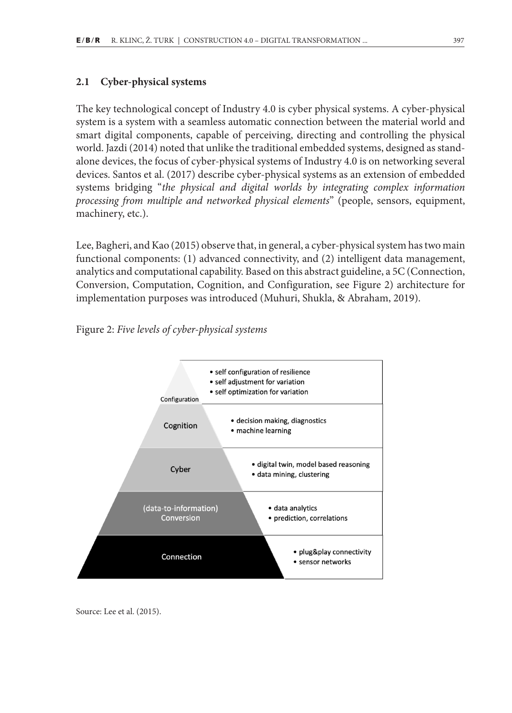#### **2.1 Cyber-physical systems**

The key technological concept of Industry 4.0 is cyber physical systems. A cyber-physical system is a system with a seamless automatic connection between the material world and smart digital components, capable of perceiving, directing and controlling the physical world. Jazdi (2014) noted that unlike the traditional embedded systems, designed as standalone devices, the focus of cyber-physical systems of Industry 4.0 is on networking several devices. Santos et al. (2017) describe cyber-physical systems as an extension of embedded systems bridging "*the physical and digital worlds by integrating complex information processing from multiple and networked physical elements*" (people, sensors, equipment, machinery, etc.).

Lee, Bagheri, and Kao (2015) observe that, in general, a cyber-physical system has two main functional components: (1) advanced connectivity, and (2) intelligent data management, analytics and computational capability. Based on this abstract guideline, a 5C (Connection, Conversion, Computation, Cognition, and Configuration, see Figure 2) architecture for implementation purposes was introduced (Muhuri, Shukla, & Abraham, 2019).

Figure 2: *Five levels of cyber-physical systems* 



Source: Lee et al. (2015).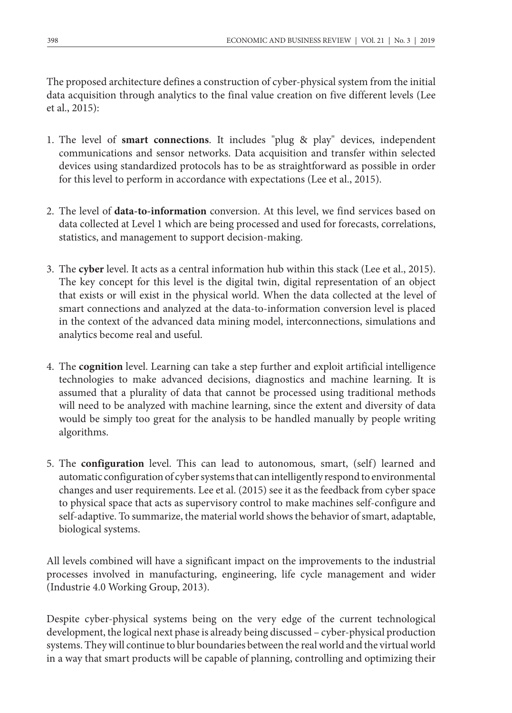The proposed architecture defines a construction of cyber-physical system from the initial data acquisition through analytics to the final value creation on five different levels (Lee et al., 2015):

- 1. The level of **smart connections**. It includes "plug & play" devices, independent communications and sensor networks. Data acquisition and transfer within selected devices using standardized protocols has to be as straightforward as possible in order for this level to perform in accordance with expectations (Lee et al., 2015).
- 2. The level of **data-to-information** conversion. At this level, we find services based on data collected at Level 1 which are being processed and used for forecasts, correlations, statistics, and management to support decision-making.
- 3. The **cyber** level. It acts as a central information hub within this stack (Lee et al., 2015). The key concept for this level is the digital twin, digital representation of an object that exists or will exist in the physical world. When the data collected at the level of smart connections and analyzed at the data-to-information conversion level is placed in the context of the advanced data mining model, interconnections, simulations and analytics become real and useful.
- 4. The **cognition** level. Learning can take a step further and exploit artificial intelligence technologies to make advanced decisions, diagnostics and machine learning. It is assumed that a plurality of data that cannot be processed using traditional methods will need to be analyzed with machine learning, since the extent and diversity of data would be simply too great for the analysis to be handled manually by people writing algorithms.
- 5. The **configuration** level. This can lead to autonomous, smart, (self) learned and automatic configuration of cyber systems that can intelligently respond to environmental changes and user requirements. Lee et al. (2015) see it as the feedback from cyber space to physical space that acts as supervisory control to make machines self-configure and self-adaptive. To summarize, the material world shows the behavior of smart, adaptable, biological systems.

All levels combined will have a significant impact on the improvements to the industrial processes involved in manufacturing, engineering, life cycle management and wider (Industrie 4.0 Working Group, 2013).

Despite cyber-physical systems being on the very edge of the current technological development, the logical next phase is already being discussed – cyber-physical production systems. They will continue to blur boundaries between the real world and the virtual world in a way that smart products will be capable of planning, controlling and optimizing their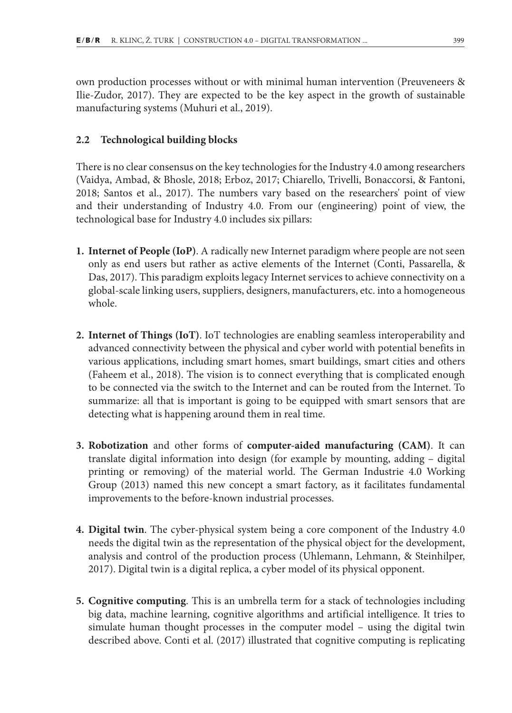own production processes without or with minimal human intervention (Preuveneers & Ilie-Zudor, 2017). They are expected to be the key aspect in the growth of sustainable manufacturing systems (Muhuri et al., 2019).

#### **2.2 Technological building blocks**

There is no clear consensus on the key technologies for the Industry 4.0 among researchers (Vaidya, Ambad, & Bhosle, 2018; Erboz, 2017; Chiarello, Trivelli, Bonaccorsi, & Fantoni, 2018; Santos et al., 2017). The numbers vary based on the researchers' point of view and their understanding of Industry 4.0. From our (engineering) point of view, the technological base for Industry 4.0 includes six pillars:

- **1. Internet of People (IoP)**. A radically new Internet paradigm where people are not seen only as end users but rather as active elements of the Internet (Conti, Passarella, & Das, 2017). This paradigm exploits legacy Internet services to achieve connectivity on a global-scale linking users, suppliers, designers, manufacturers, etc. into a homogeneous whole.
- **2. Internet of Things (IoT)**. IoT technologies are enabling seamless interoperability and advanced connectivity between the physical and cyber world with potential benefits in various applications, including smart homes, smart buildings, smart cities and others (Faheem et al., 2018). The vision is to connect everything that is complicated enough to be connected via the switch to the Internet and can be routed from the Internet. To summarize: all that is important is going to be equipped with smart sensors that are detecting what is happening around them in real time.
- **3. Robotization** and other forms of **computer-aided manufacturing (CAM)**. It can translate digital information into design (for example by mounting, adding – digital printing or removing) of the material world. The German Industrie 4.0 Working Group (2013) named this new concept a smart factory, as it facilitates fundamental improvements to the before-known industrial processes.
- **4. Digital twin**. The cyber-physical system being a core component of the Industry 4.0 needs the digital twin as the representation of the physical object for the development, analysis and control of the production process (Uhlemann, Lehmann, & Steinhilper, 2017). Digital twin is a digital replica, a cyber model of its physical opponent.
- **5. Cognitive computing**. This is an umbrella term for a stack of technologies including big data, machine learning, cognitive algorithms and artificial intelligence. It tries to simulate human thought processes in the computer model – using the digital twin described above. Conti et al. (2017) illustrated that cognitive computing is replicating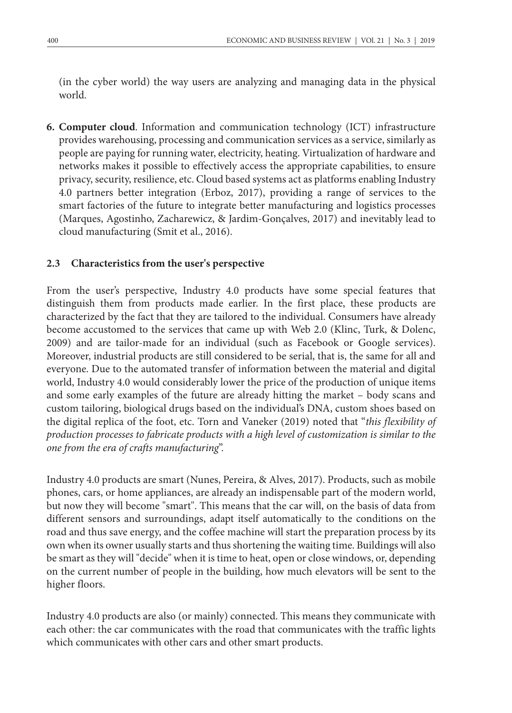(in the cyber world) the way users are analyzing and managing data in the physical world.

**6. Computer cloud**. Information and communication technology (ICT) infrastructure provides warehousing, processing and communication services as a service, similarly as people are paying for running water, electricity, heating. Virtualization of hardware and networks makes it possible to effectively access the appropriate capabilities, to ensure privacy, security, resilience, etc. Cloud based systems act as platforms enabling Industry 4.0 partners better integration (Erboz, 2017), providing a range of services to the smart factories of the future to integrate better manufacturing and logistics processes (Marques, Agostinho, Zacharewicz, & Jardim-Gonçalves, 2017) and inevitably lead to cloud manufacturing (Smit et al., 2016).

#### **2.3 Characteristics from the user's perspective**

From the user's perspective, Industry 4.0 products have some special features that distinguish them from products made earlier. In the first place, these products are characterized by the fact that they are tailored to the individual. Consumers have already become accustomed to the services that came up with Web 2.0 (Klinc, Turk, & Dolenc, 2009) and are tailor-made for an individual (such as Facebook or Google services). Moreover, industrial products are still considered to be serial, that is, the same for all and everyone. Due to the automated transfer of information between the material and digital world, Industry 4.0 would considerably lower the price of the production of unique items and some early examples of the future are already hitting the market – body scans and custom tailoring, biological drugs based on the individual's DNA, custom shoes based on the digital replica of the foot, etc. Torn and Vaneker (2019) noted that "*this flexibility of production processes to fabricate products with a high level of customization is similar to the one from the era of crafts manufacturing*".

Industry 4.0 products are smart (Nunes, Pereira, & Alves, 2017). Products, such as mobile phones, cars, or home appliances, are already an indispensable part of the modern world, but now they will become "smart". This means that the car will, on the basis of data from different sensors and surroundings, adapt itself automatically to the conditions on the road and thus save energy, and the coffee machine will start the preparation process by its own when its owner usually starts and thus shortening the waiting time. Buildings will also be smart as they will "decide" when it is time to heat, open or close windows, or, depending on the current number of people in the building, how much elevators will be sent to the higher floors.

Industry 4.0 products are also (or mainly) connected. This means they communicate with each other: the car communicates with the road that communicates with the traffic lights which communicates with other cars and other smart products.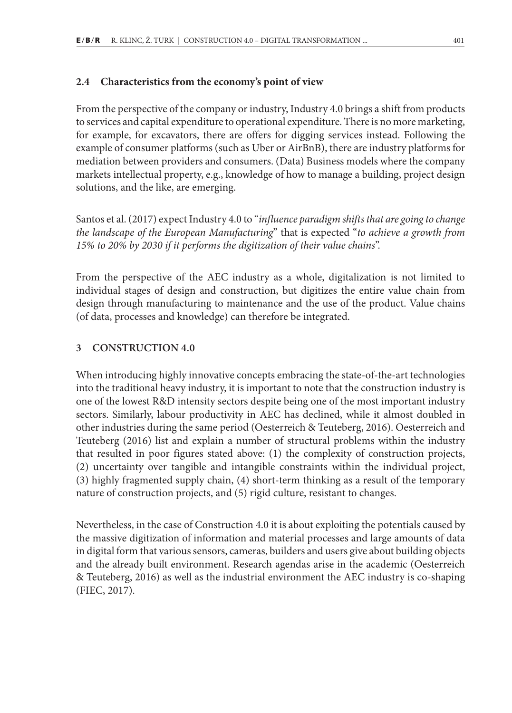#### **2.4 Characteristics from the economy's point of view**

From the perspective of the company or industry, Industry 4.0 brings a shift from products to services and capital expenditure to operational expenditure. There is no more marketing, for example, for excavators, there are offers for digging services instead. Following the example of consumer platforms (such as Uber or AirBnB), there are industry platforms for mediation between providers and consumers. (Data) Business models where the company markets intellectual property, e.g., knowledge of how to manage a building, project design solutions, and the like, are emerging.

Santos et al. (2017) expect Industry 4.0 to "*influence paradigm shifts that are going to change the landscape of the European Manufacturing*" that is expected "*to achieve a growth from 15% to 20% by 2030 if it performs the digitization of their value chains*".

From the perspective of the AEC industry as a whole, digitalization is not limited to individual stages of design and construction, but digitizes the entire value chain from design through manufacturing to maintenance and the use of the product. Value chains (of data, processes and knowledge) can therefore be integrated.

#### **3 CONSTRUCTION 4.0**

When introducing highly innovative concepts embracing the state-of-the-art technologies into the traditional heavy industry, it is important to note that the construction industry is one of the lowest R&D intensity sectors despite being one of the most important industry sectors. Similarly, labour productivity in AEC has declined, while it almost doubled in other industries during the same period (Oesterreich & Teuteberg, 2016). Oesterreich and Teuteberg (2016) list and explain a number of structural problems within the industry that resulted in poor figures stated above: (1) the complexity of construction projects, (2) uncertainty over tangible and intangible constraints within the individual project, (3) highly fragmented supply chain, (4) short-term thinking as a result of the temporary nature of construction projects, and (5) rigid culture, resistant to changes.

Nevertheless, in the case of Construction 4.0 it is about exploiting the potentials caused by the massive digitization of information and material processes and large amounts of data in digital form that various sensors, cameras, builders and users give about building objects and the already built environment. Research agendas arise in the academic (Oesterreich & Teuteberg, 2016) as well as the industrial environment the AEC industry is co-shaping (FIEC, 2017).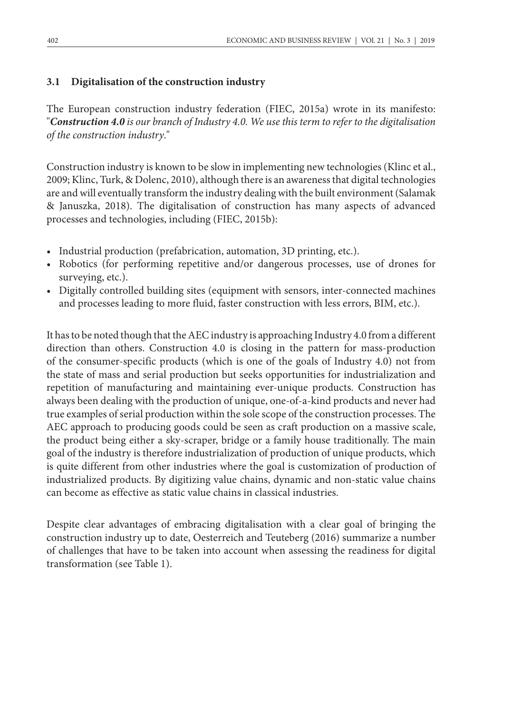#### **3.1 Digitalisation of the construction industry**

The European construction industry federation (FIEC, 2015a) wrote in its manifesto: "*Construction 4.0 is our branch of Industry 4.0. We use this term to refer to the digitalisation of the construction industry*."

Construction industry is known to be slow in implementing new technologies (Klinc et al., 2009; Klinc, Turk, & Dolenc, 2010), although there is an awareness that digital technologies are and will eventually transform the industry dealing with the built environment (Salamak & Januszka, 2018). The digitalisation of construction has many aspects of advanced processes and technologies, including (FIEC, 2015b):

- Industrial production (prefabrication, automation, 3D printing, etc.).
- Robotics (for performing repetitive and/or dangerous processes, use of drones for surveying, etc.).
- Digitally controlled building sites (equipment with sensors, inter-connected machines and processes leading to more fluid, faster construction with less errors, BIM, etc.).

It has to be noted though that the AEC industry is approaching Industry 4.0 from a different direction than others. Construction 4.0 is closing in the pattern for mass-production of the consumer-specific products (which is one of the goals of Industry 4.0) not from the state of mass and serial production but seeks opportunities for industrialization and repetition of manufacturing and maintaining ever-unique products. Construction has always been dealing with the production of unique, one-of-a-kind products and never had true examples of serial production within the sole scope of the construction processes. The AEC approach to producing goods could be seen as craft production on a massive scale, the product being either a sky-scraper, bridge or a family house traditionally. The main goal of the industry is therefore industrialization of production of unique products, which is quite different from other industries where the goal is customization of production of industrialized products. By digitizing value chains, dynamic and non-static value chains can become as effective as static value chains in classical industries.

Despite clear advantages of embracing digitalisation with a clear goal of bringing the construction industry up to date, Oesterreich and Teuteberg (2016) summarize a number of challenges that have to be taken into account when assessing the readiness for digital transformation (see Table 1).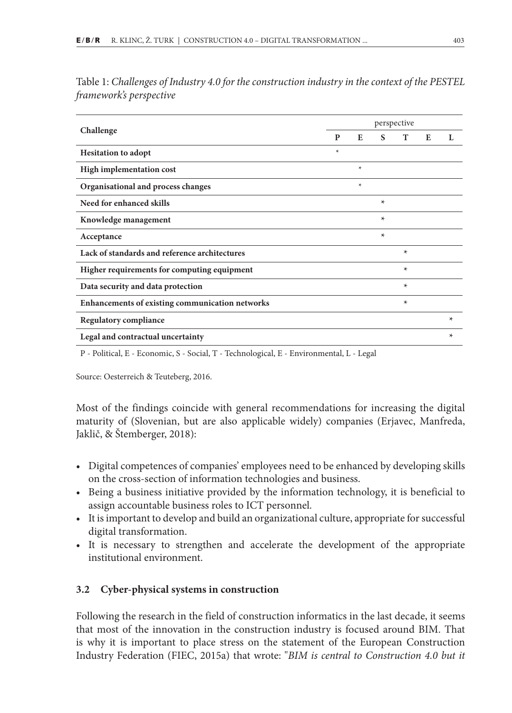|                                                 | perspective |        |         |        |   |         |  |  |
|-------------------------------------------------|-------------|--------|---------|--------|---|---------|--|--|
| Challenge                                       | P           | E      | S       | T      | E | L       |  |  |
| <b>Hesitation to adopt</b>                      | $\ast$      |        |         |        |   |         |  |  |
| High implementation cost                        |             | $\ast$ |         |        |   |         |  |  |
| Organisational and process changes              |             | $\ast$ |         |        |   |         |  |  |
| Need for enhanced skills                        |             |        | $\star$ |        |   |         |  |  |
| Knowledge management                            |             |        | $\star$ |        |   |         |  |  |
| Acceptance                                      |             |        | $\star$ |        |   |         |  |  |
| Lack of standards and reference architectures   |             |        |         | $\ast$ |   |         |  |  |
| Higher requirements for computing equipment     |             |        |         | $\ast$ |   |         |  |  |
| Data security and data protection               |             |        |         | $\ast$ |   |         |  |  |
| Enhancements of existing communication networks |             |        |         | $\ast$ |   |         |  |  |
| <b>Regulatory compliance</b>                    |             |        |         |        |   | $\star$ |  |  |
| Legal and contractual uncertainty               |             |        |         |        |   | $\ast$  |  |  |

Table 1: *Challenges of Industry 4.0 for the construction industry in the context of the PESTEL framework's perspective*

P - Political, E - Economic, S - Social, T - Technological, E - Environmental, L - Legal

Source: Oesterreich & Teuteberg, 2016.

Most of the findings coincide with general recommendations for increasing the digital maturity of (Slovenian, but are also applicable widely) companies (Erjavec, Manfreda, Jaklič, & Štemberger, 2018):

- Digital competences of companies' employees need to be enhanced by developing skills on the cross-section of information technologies and business.
- Being a business initiative provided by the information technology, it is beneficial to assign accountable business roles to ICT personnel.
- It is important to develop and build an organizational culture, appropriate for successful digital transformation.
- It is necessary to strengthen and accelerate the development of the appropriate institutional environment.

#### **3.2 Cyber-physical systems in construction**

Following the research in the field of construction informatics in the last decade, it seems that most of the innovation in the construction industry is focused around BIM. That is why it is important to place stress on the statement of the European Construction Industry Federation (FIEC, 2015a) that wrote: "*BIM is central to Construction 4.0 but it*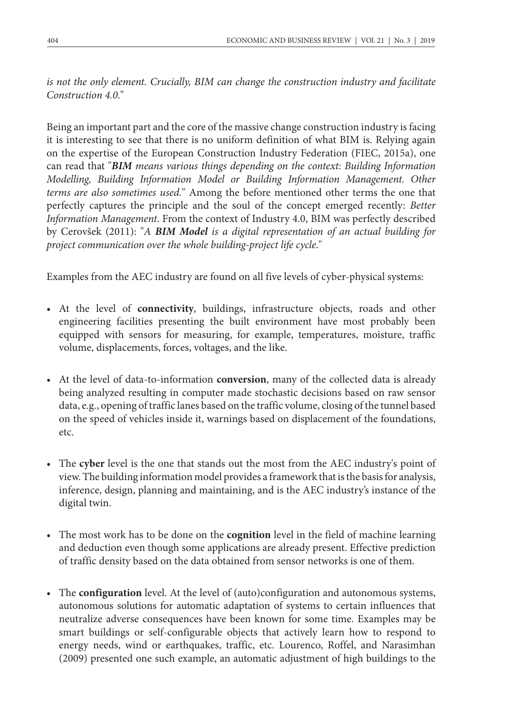*is not the only element. Crucially, BIM can change the construction industry and facilitate Construction 4.0*."

Being an important part and the core of the massive change construction industry is facing it is interesting to see that there is no uniform definition of what BIM is. Relying again on the expertise of the European Construction Industry Federation (FIEC, 2015a), one can read that "*BIM means various things depending on the context: Building Information Modelling, Building Information Model or Building Information Management. Other terms are also sometimes used.*" Among the before mentioned other terms the one that perfectly captures the principle and the soul of the concept emerged recently: *Better Information Management*. From the context of Industry 4.0, BIM was perfectly described by Cerovšek (2011): "*A BIM Model is a digital representation of an actual building for project communication over the whole building-project life cycle*."

Examples from the AEC industry are found on all five levels of cyber-physical systems:

- At the level of **connectivity**, buildings, infrastructure objects, roads and other engineering facilities presenting the built environment have most probably been equipped with sensors for measuring, for example, temperatures, moisture, traffic volume, displacements, forces, voltages, and the like.
- At the level of data-to-information **conversion**, many of the collected data is already being analyzed resulting in computer made stochastic decisions based on raw sensor data, e.g., opening of traffic lanes based on the traffic volume, closing of the tunnel based on the speed of vehicles inside it, warnings based on displacement of the foundations, etc.
- The **cyber** level is the one that stands out the most from the AEC industry's point of view. The building information model provides a framework that is the basis for analysis, inference, design, planning and maintaining, and is the AEC industry's instance of the digital twin.
- The most work has to be done on the **cognition** level in the field of machine learning and deduction even though some applications are already present. Effective prediction of traffic density based on the data obtained from sensor networks is one of them.
- The **configuration** level. At the level of (auto)configuration and autonomous systems, autonomous solutions for automatic adaptation of systems to certain influences that neutralize adverse consequences have been known for some time. Examples may be smart buildings or self-configurable objects that actively learn how to respond to energy needs, wind or earthquakes, traffic, etc. Lourenco, Roffel, and Narasimhan (2009) presented one such example, an automatic adjustment of high buildings to the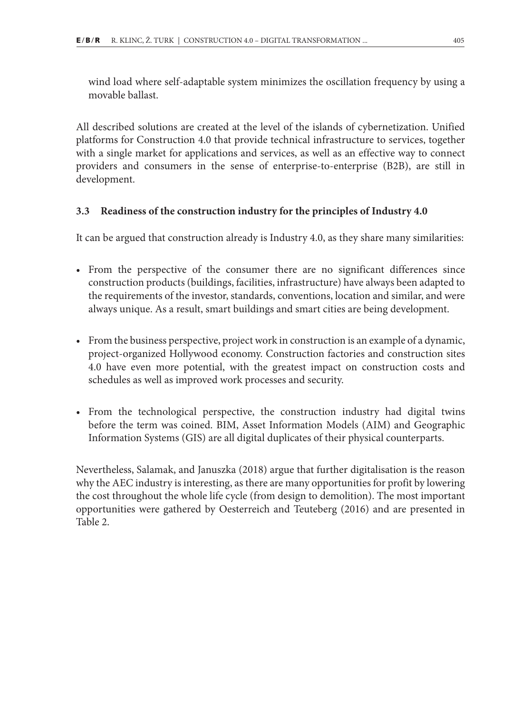wind load where self-adaptable system minimizes the oscillation frequency by using a movable ballast.

All described solutions are created at the level of the islands of cybernetization. Unified platforms for Construction 4.0 that provide technical infrastructure to services, together with a single market for applications and services, as well as an effective way to connect providers and consumers in the sense of enterprise-to-enterprise (B2B), are still in development.

#### **3.3 Readiness of the construction industry for the principles of Industry 4.0**

It can be argued that construction already is Industry 4.0, as they share many similarities:

- From the perspective of the consumer there are no significant differences since construction products (buildings, facilities, infrastructure) have always been adapted to the requirements of the investor, standards, conventions, location and similar, and were always unique. As a result, smart buildings and smart cities are being development.
- From the business perspective, project work in construction is an example of a dynamic, project-organized Hollywood economy. Construction factories and construction sites 4.0 have even more potential, with the greatest impact on construction costs and schedules as well as improved work processes and security.
- From the technological perspective, the construction industry had digital twins before the term was coined. BIM, Asset Information Models (AIM) and Geographic Information Systems (GIS) are all digital duplicates of their physical counterparts.

Nevertheless, Salamak, and Januszka (2018) argue that further digitalisation is the reason why the AEC industry is interesting, as there are many opportunities for profit by lowering the cost throughout the whole life cycle (from design to demolition). The most important opportunities were gathered by Oesterreich and Teuteberg (2016) and are presented in Table 2.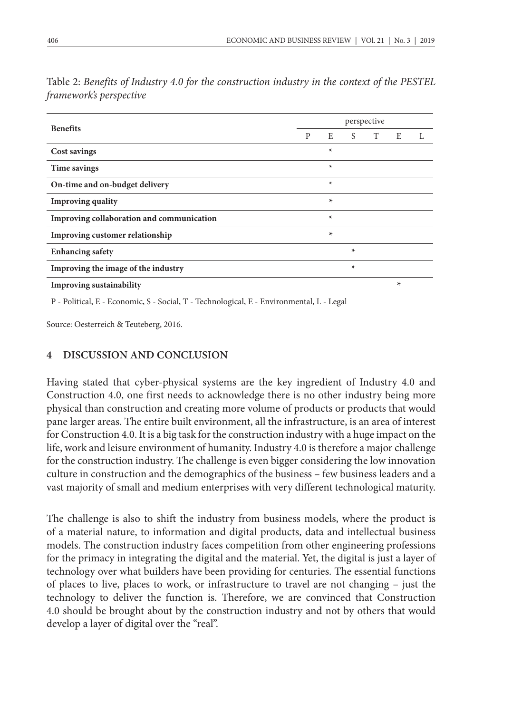|                                           | perspective |         |         |   |   |   |  |  |
|-------------------------------------------|-------------|---------|---------|---|---|---|--|--|
| <b>Benefits</b>                           | P           | E       | S.      | T | E | L |  |  |
| Cost savings                              |             | $\star$ |         |   |   |   |  |  |
| Time savings                              |             | $\ast$  |         |   |   |   |  |  |
| On-time and on-budget delivery            |             | $\ast$  |         |   |   |   |  |  |
| <b>Improving quality</b>                  |             | $\star$ |         |   |   |   |  |  |
| Improving collaboration and communication |             | $\star$ |         |   |   |   |  |  |
| Improving customer relationship           |             | $\ast$  |         |   |   |   |  |  |
| <b>Enhancing safety</b>                   |             |         | $\star$ |   |   |   |  |  |
| Improving the image of the industry       |             |         | $\star$ |   |   |   |  |  |
| <b>Improving sustainability</b>           |             |         |         |   | * |   |  |  |

Table 2: *Benefits of Industry 4.0 for the construction industry in the context of the PESTEL framework's perspective*

P - Political, E - Economic, S - Social, T - Technological, E - Environmental, L - Legal

Source: Oesterreich & Teuteberg, 2016.

#### **4 DISCUSSION AND CONCLUSION**

Having stated that cyber-physical systems are the key ingredient of Industry 4.0 and Construction 4.0, one first needs to acknowledge there is no other industry being more physical than construction and creating more volume of products or products that would pane larger areas. The entire built environment, all the infrastructure, is an area of interest for Construction 4.0. It is a big task for the construction industry with a huge impact on the life, work and leisure environment of humanity. Industry 4.0 is therefore a major challenge for the construction industry. The challenge is even bigger considering the low innovation culture in construction and the demographics of the business – few business leaders and a vast majority of small and medium enterprises with very different technological maturity.

The challenge is also to shift the industry from business models, where the product is of a material nature, to information and digital products, data and intellectual business models. The construction industry faces competition from other engineering professions for the primacy in integrating the digital and the material. Yet, the digital is just a layer of technology over what builders have been providing for centuries. The essential functions of places to live, places to work, or infrastructure to travel are not changing – just the technology to deliver the function is. Therefore, we are convinced that Construction 4.0 should be brought about by the construction industry and not by others that would develop a layer of digital over the "real".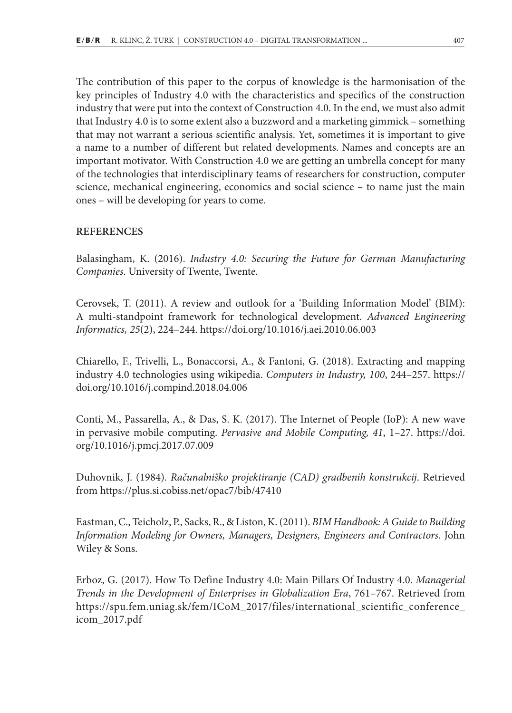The contribution of this paper to the corpus of knowledge is the harmonisation of the key principles of Industry 4.0 with the characteristics and specifics of the construction industry that were put into the context of Construction 4.0. In the end, we must also admit that Industry 4.0 is to some extent also a buzzword and a marketing gimmick – something that may not warrant a serious scientific analysis. Yet, sometimes it is important to give a name to a number of different but related developments. Names and concepts are an important motivator. With Construction 4.0 we are getting an umbrella concept for many of the technologies that interdisciplinary teams of researchers for construction, computer science, mechanical engineering, economics and social science – to name just the main ones – will be developing for years to come.

#### **REFERENCES**

Balasingham, K. (2016). *Industry 4.0: Securing the Future for German Manufacturing Companies*. University of Twente, Twente.

Cerovsek, T. (2011). A review and outlook for a 'Building Information Model' (BIM): A multi-standpoint framework for technological development. *Advanced Engineering Informatics, 25*(2), 224–244. https://doi.org/10.1016/j.aei.2010.06.003

Chiarello, F., Trivelli, L., Bonaccorsi, A., & Fantoni, G. (2018). Extracting and mapping industry 4.0 technologies using wikipedia. *Computers in Industry, 100*, 244–257. https:// doi.org/10.1016/j.compind.2018.04.006

Conti, M., Passarella, A., & Das, S. K. (2017). The Internet of People (IoP): A new wave in pervasive mobile computing. *Pervasive and Mobile Computing, 41*, 1–27. https://doi. org/10.1016/j.pmcj.2017.07.009

Duhovnik, J. (1984). *Računalniško projektiranje (CAD) gradbenih konstrukcij*. Retrieved from https://plus.si.cobiss.net/opac7/bib/47410

Eastman, C., Teicholz, P., Sacks, R., & Liston, K. (2011). *BIM Handbook: A Guide to Building Information Modeling for Owners, Managers, Designers, Engineers and Contractors*. John Wiley & Sons.

Erboz, G. (2017). How To Define Industry 4.0: Main Pillars Of Industry 4.0. *Managerial Trends in the Development of Enterprises in Globalization Era*, 761–767. Retrieved from https://spu.fem.uniag.sk/fem/ICoM\_2017/files/international\_scientific\_conference\_ icom\_2017.pdf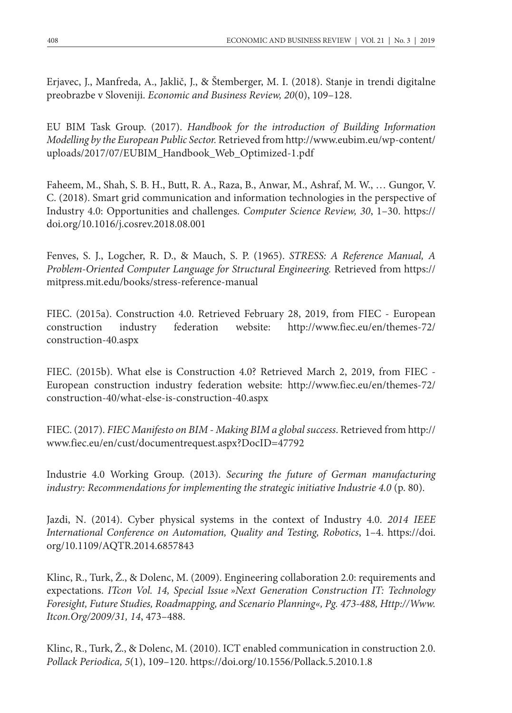Erjavec, J., Manfreda, A., Jaklič, J., & Štemberger, M. I. (2018). Stanje in trendi digitalne preobrazbe v Sloveniji. *Economic and Business Review, 20*(0), 109–128.

EU BIM Task Group. (2017). *Handbook for the introduction of Building Information Modelling by the European Public Sector.* Retrieved from http://www.eubim.eu/wp-content/ uploads/2017/07/EUBIM\_Handbook\_Web\_Optimized-1.pdf

Faheem, M., Shah, S. B. H., Butt, R. A., Raza, B., Anwar, M., Ashraf, M. W., … Gungor, V. C. (2018). Smart grid communication and information technologies in the perspective of Industry 4.0: Opportunities and challenges. *Computer Science Review, 30*, 1–30. https:// doi.org/10.1016/j.cosrev.2018.08.001

Fenves, S. J., Logcher, R. D., & Mauch, S. P. (1965). *STRESS: A Reference Manual, A Problem-Oriented Computer Language for Structural Engineering.* Retrieved from https:// mitpress.mit.edu/books/stress-reference-manual

FIEC. (2015a). Construction 4.0. Retrieved February 28, 2019, from FIEC - European construction industry federation website: http://www.fiec.eu/en/themes-72/ construction-40.aspx

FIEC. (2015b). What else is Construction 4.0? Retrieved March 2, 2019, from FIEC - European construction industry federation website: http://www.fiec.eu/en/themes-72/ construction-40/what-else-is-construction-40.aspx

FIEC. (2017). *FIEC Manifesto on BIM - Making BIM a global success*. Retrieved from http:// www.fiec.eu/en/cust/documentrequest.aspx?DocID=47792

Industrie 4.0 Working Group. (2013). *Securing the future of German manufacturing industry: Recommendations for implementing the strategic initiative Industrie 4.0* (p. 80).

Jazdi, N. (2014). Cyber physical systems in the context of Industry 4.0. *2014 IEEE International Conference on Automation, Quality and Testing, Robotics*, 1–4. https://doi. org/10.1109/AQTR.2014.6857843

Klinc, R., Turk, Ž., & Dolenc, M. (2009). Engineering collaboration 2.0: requirements and expectations. *ITcon Vol. 14, Special Issue »Next Generation Construction IT: Technology Foresight, Future Studies, Roadmapping, and Scenario Planning«, Pg. 473-488, Http://Www. Itcon.Org/2009/31, 14*, 473–488.

Klinc, R., Turk, Ž., & Dolenc, M. (2010). ICT enabled communication in construction 2.0. *Pollack Periodica, 5*(1), 109–120. https://doi.org/10.1556/Pollack.5.2010.1.8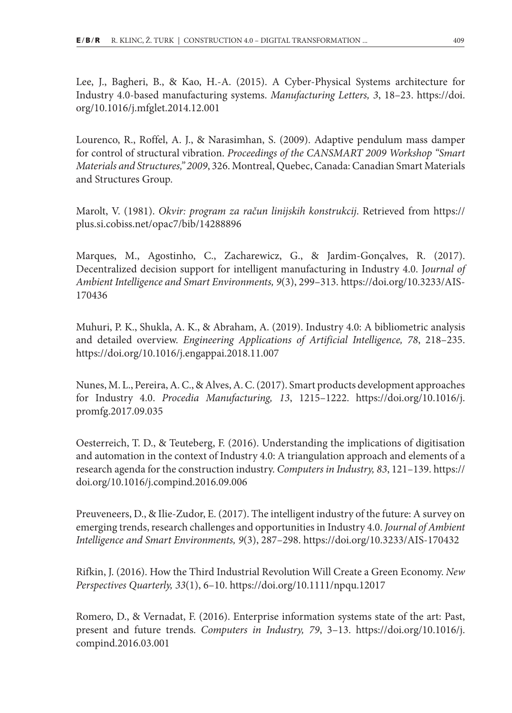Lee, J., Bagheri, B., & Kao, H.-A. (2015). A Cyber-Physical Systems architecture for Industry 4.0-based manufacturing systems. *Manufacturing Letters, 3*, 18–23. https://doi. org/10.1016/j.mfglet.2014.12.001

Lourenco, R., Roffel, A. J., & Narasimhan, S. (2009). Adaptive pendulum mass damper for control of structural vibration. *Proceedings of the CANSMART 2009 Workshop "Smart Materials and Structures," 2009*, 326. Montreal, Quebec, Canada: Canadian Smart Materials and Structures Group.

Marolt, V. (1981). *Okvir: program za račun linijskih konstrukcij*. Retrieved from https:// plus.si.cobiss.net/opac7/bib/14288896

Marques, M., Agostinho, C., Zacharewicz, G., & Jardim-Gonçalves, R. (2017). Decentralized decision support for intelligent manufacturing in Industry 4.0. J*ournal of Ambient Intelligence and Smart Environments, 9*(3), 299–313. https://doi.org/10.3233/AIS-170436

Muhuri, P. K., Shukla, A. K., & Abraham, A. (2019). Industry 4.0: A bibliometric analysis and detailed overview. *Engineering Applications of Artificial Intelligence, 78*, 218–235. https://doi.org/10.1016/j.engappai.2018.11.007

Nunes, M. L., Pereira, A. C., & Alves, A. C. (2017). Smart products development approaches for Industry 4.0. *Procedia Manufacturing, 13*, 1215–1222. https://doi.org/10.1016/j. promfg.2017.09.035

Oesterreich, T. D., & Teuteberg, F. (2016). Understanding the implications of digitisation and automation in the context of Industry 4.0: A triangulation approach and elements of a research agenda for the construction industry. *Computers in Industry, 83*, 121–139. https:// doi.org/10.1016/j.compind.2016.09.006

Preuveneers, D., & Ilie-Zudor, E. (2017). The intelligent industry of the future: A survey on emerging trends, research challenges and opportunities in Industry 4.0. *Journal of Ambient Intelligence and Smart Environments, 9*(3), 287–298. https://doi.org/10.3233/AIS-170432

Rifkin, J. (2016). How the Third Industrial Revolution Will Create a Green Economy. *New Perspectives Quarterly, 33*(1), 6–10. https://doi.org/10.1111/npqu.12017

Romero, D., & Vernadat, F. (2016). Enterprise information systems state of the art: Past, present and future trends. *Computers in Industry, 79*, 3–13. https://doi.org/10.1016/j. compind.2016.03.001